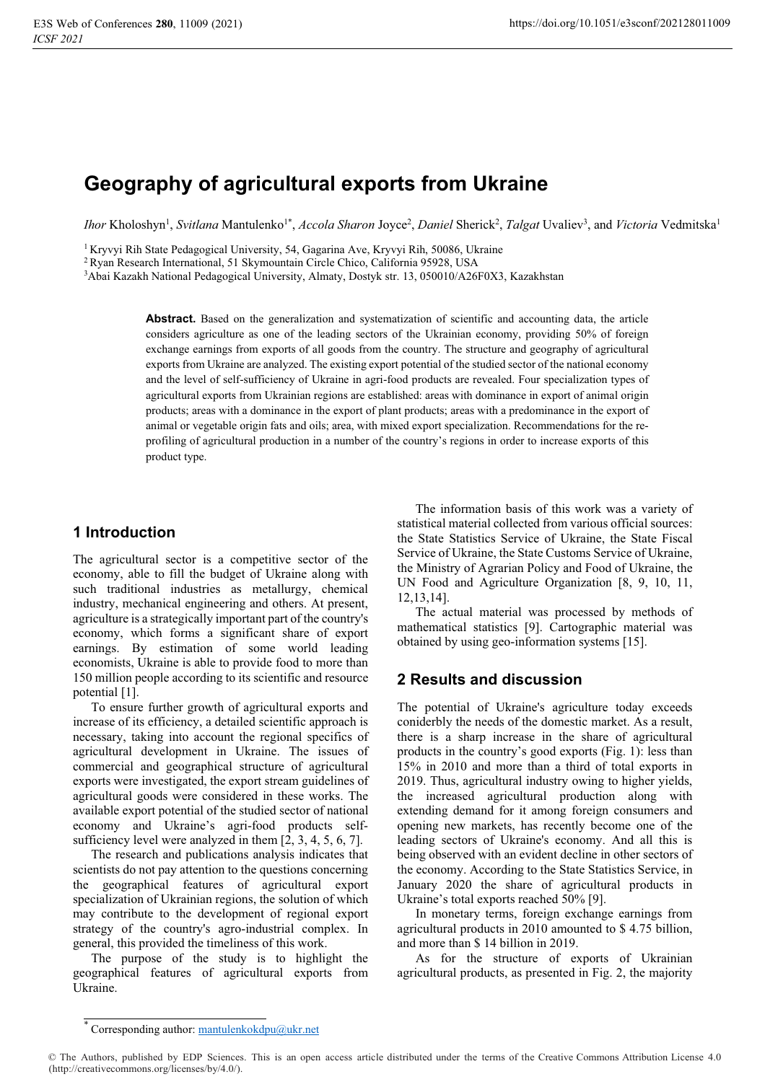# **Geography of agricultural exports from Ukraine**

Ihor Kholoshyn<sup>1</sup>, *Svitlana* Mantulenko<sup>1\*</sup>, *Accola Sharon* Joyce<sup>2</sup>, *Daniel Sherick<sup>2</sup>, Talgat* Uvaliev<sup>3</sup>, and *Victoria* Vedmitska<sup>1</sup>

<sup>1</sup> Kryvyi Rih State Pedagogical University, 54, Gagarina Ave, Kryvyi Rih, 50086, Ukraine<br><sup>2</sup> Ryan Research International, 51 Skymountain Circle Chico, California 95928, USA<br><sup>3</sup>Abai Kazakh National Pedagogical University,

Abstract. Based on the generalization and systematization of scientific and accounting data, the article considers agriculture as one of the leading sectors of the Ukrainian economy, providing 50% of foreign exchange earnings from exports of all goods from the country. The structure and geography of agricultural exports from Ukraine are analyzed. The existing export potential of the studied sector of the national economy and the level of self-sufficiency of Ukraine in agri-food products are revealed. Four specialization types of agricultural exports from Ukrainian regions are established: areas with dominance in export of animal origin products; areas with a dominance in the export of plant products; areas with a predominance in the export of animal or vegetable origin fats and oils; area, with mixed export specialization. Recommendations for the reprofiling of agricultural production in a number of the country's regions in order to increase exports of this product type.

## **1 Introduction**

The agricultural sector is a competitive sector of the economy, able to fill the budget of Ukraine along with such traditional industries as metallurgy, chemical industry, mechanical engineering and others. At present, agriculture is a strategically important part of the country's economy, which forms a significant share of export earnings. By estimation of some world leading economists, Ukraine is able to provide food to more than 150 million people according to its scientific and resource potential [1].

To ensure further growth of agricultural exports and increase of its efficiency, a detailed scientific approach is necessary, taking into account the regional specifics of agricultural development in Ukraine. The issues of commercial and geographical structure of agricultural exports were investigated, the export stream guidelines of agricultural goods were considered in these works. The available export potential of the studied sector of national economy and Ukraine's agri-food products selfsufficiency level were analyzed in them [2, 3, 4, 5, 6, 7].

The research and publications analysis indicates that scientists do not pay attention to the questions concerning the geographical features of agricultural export specialization of Ukrainian regions, the solution of which may contribute to the development of regional export strategy of the country's agro-industrial complex. In general, this provided the timeliness of this work.

The purpose of the study is to highlight the geographical features of agricultural exports from Ukraine.

The information basis of this work was a variety of statistical material collected from various official sources: the State Statistics Service of Ukraine, the State Fiscal Service of Ukraine, the State Customs Service of Ukraine, the Ministry of Agrarian Policy and Food of Ukraine, the UN Food and Agriculture Organization [8, 9, 10, 11, 12,13,14].

The actual material was processed by methods of mathematical statistics [9]. Cartographic material was obtained by using geo-information systems [15].

## **2 Results and discussion**

The potential of Ukraine's agriculture today exceeds coniderbly the needs of the domestic market. As a result, there is a sharp increase in the share of agricultural products in the country's good exports (Fig. 1): less than 15% in 2010 and more than a third of total exports in 2019. Thus, agricultural industry owing to higher yields, the increased agricultural production along with extending demand for it among foreign consumers and opening new markets, has recently become one of the leading sectors of Ukraine's economy. And all this is being observed with an evident decline in other sectors of the economy. According to the State Statistics Service, in January 2020 the share of agricultural products in Ukraine's total exports reached 50% [9].

In monetary terms, foreign exchange earnings from agricultural products in 2010 amounted to \$ 4.75 billion, and more than \$ 14 billion in 2019.

As for the structure of exports of Ukrainian agricultural products, as presented in Fig. 2, the majority

Corresponding author: mantulenkokdpu@ukr.net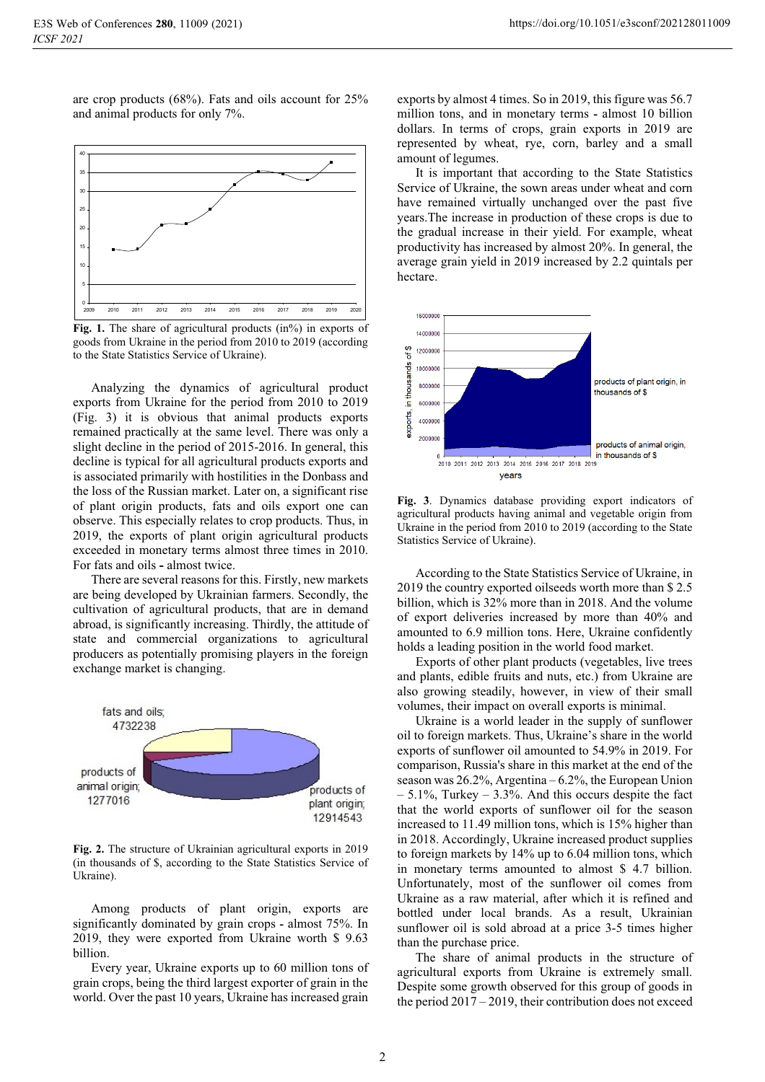are crop products (68%). Fats and oils account for 25% and animal products for only 7%.



Fig. 1. The share of agricultural products (in<sup>%</sup>) in exports of goods from Ukraine in the period from 2010 to 2019 (according to the State Statistics Service of Ukraine).

Analyzing the dynamics of agricultural product exports from Ukraine for the period from 2010 to 2019 (Fig. 3) it is obvious that animal products exports remained practically at the same level. There was only a slight decline in the period of 2015-2016. In general, this decline is typical for all agricultural products exports and is associated primarily with hostilities in the Donbass and the loss of the Russian market. Later on, a significant rise of plant origin products, fats and oils export one can observe. This especially relates to crop products. Thus, in 2019, the exports of plant origin agricultural products exceeded in monetary terms almost three times in 2010. For fats and oils **-** almost twice.

There are several reasons for this. Firstly, new markets are being developed by Ukrainian farmers. Secondly, the cultivation of agricultural products, that are in demand abroad, is significantly increasing. Thirdly, the attitude of state and commercial organizations to agricultural producers as potentially promising players in the foreign exchange market is changing.



**Fig. 2.** The structure of Ukrainian agricultural exports in 2019 (in thousands of \$, according to the State Statistics Service of Ukraine).

Among products of plant origin, exports are significantly dominated by grain crops **-** almost 75%. In 2019, they were exported from Ukraine worth \$ 9.63 billion.

Every year, Ukraine exports up to 60 million tons of grain crops, being the third largest exporter of grain in the world. Over the past 10 years, Ukraine has increased grain

exports by almost 4 times. So in 2019, this figure was 56.7 million tons, and in monetary terms **-** almost 10 billion dollars. In terms of crops, grain exports in 2019 are represented by wheat, rye, corn, barley and a small amount of legumes.

It is important that according to the State Statistics Service of Ukraine, the sown areas under wheat and corn have remained virtually unchanged over the past five years.The increase in production of these crops is due to the gradual increase in their yield. For example, wheat productivity has increased by almost 20%. In general, the average grain yield in 2019 increased by 2.2 quintals per hectare.



**Fig. 3**. Dynamics database providing export indicators of agricultural products having animal and vegetable origin from Ukraine in the period from 2010 to 2019 (according to the State Statistics Service of Ukraine).

According to the State Statistics Service of Ukraine, in 2019 the country exported oilseeds worth more than \$ 2.5 billion, which is 32% more than in 2018. And the volume of export deliveries increased by more than 40% and amounted to 6.9 million tons. Here, Ukraine confidently holds a leading position in the world food market.

Exports of other plant products (vegetables, live trees and plants, edible fruits and nuts, etc.) from Ukraine are also growing steadily, however, in view of their small volumes, their impact on overall exports is minimal.

Ukraine is a world leader in the supply of sunflower oil to foreign markets. Thus, Ukraine's share in the world exports of sunflower oil amounted to 54.9% in 2019. For comparison, Russia's share in this market at the end of the season was 26.2%, Argentina – 6.2%, the European Union  $-5.1\%$ , Turkey  $-3.3\%$ . And this occurs despite the fact that the world exports of sunflower oil for the season increased to 11.49 million tons, which is 15% higher than in 2018. Accordingly, Ukraine increased product supplies to foreign markets by 14% up to 6.04 million tons, which in monetary terms amounted to almost \$ 4.7 billion. Unfortunately, most of the sunflower oil comes from Ukraine as a raw material, after which it is refined and bottled under local brands. As a result, Ukrainian sunflower oil is sold abroad at a price 3-5 times higher than the purchase price.

The share of animal products in the structure of agricultural exports from Ukraine is extremely small. Despite some growth observed for this group of goods in the period 2017 – 2019, their contribution does not exceed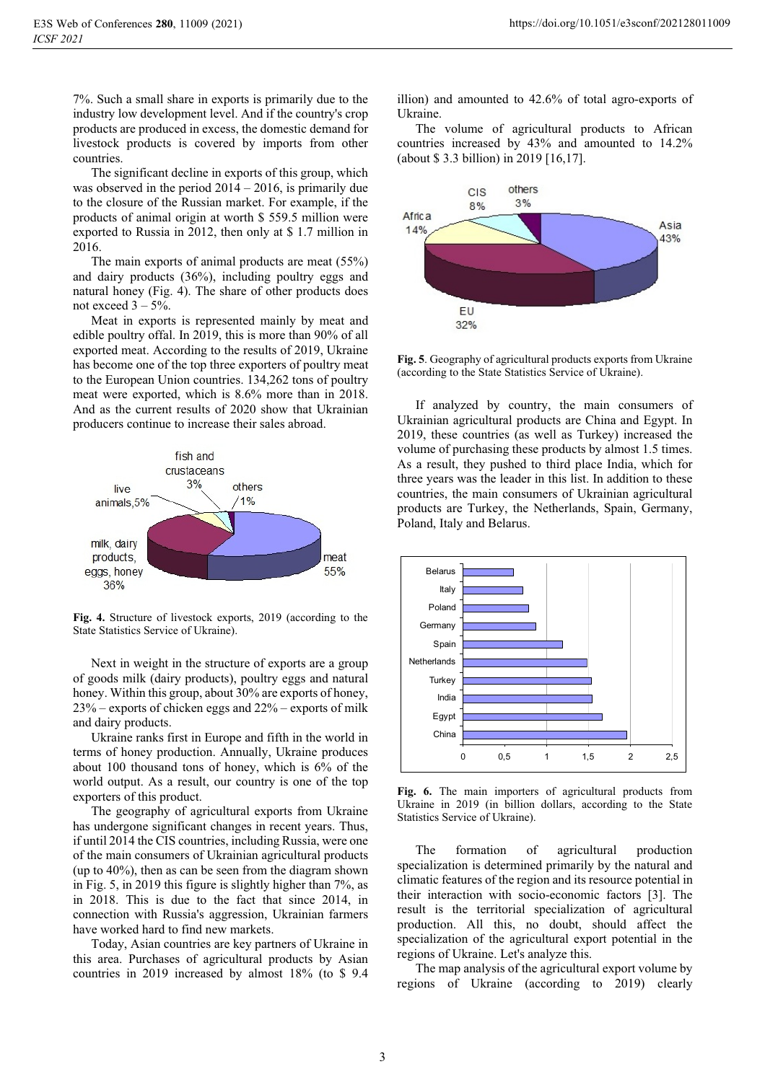7%. Such a small share in exports is primarily due to the industry low development level. And if the country's crop products are produced in excess, the domestic demand for livestock products is covered by imports from other countries.

The significant decline in exports of this group, which was observed in the period 2014 – 2016, is primarily due to the closure of the Russian market. For example, if the products of animal origin at worth \$ 559.5 million were exported to Russia in 2012, then only at \$ 1.7 million in 2016.

The main exports of animal products are meat (55%) and dairy products (36%), including poultry eggs and natural honey (Fig. 4). The share of other products does not exceed  $3 - 5\%$ .

Meat in exports is represented mainly by meat and edible poultry offal. In 2019, this is more than 90% of all exported meat. According to the results of 2019, Ukraine has become one of the top three exporters of poultry meat to the European Union countries. 134,262 tons of poultry meat were exported, which is 8.6% more than in 2018. And as the current results of 2020 show that Ukrainian producers continue to increase their sales abroad.



**Fig. 4.** Structure of livestock exports, 2019 (according to the State Statistics Service of Ukraine).

Next in weight in the structure of exports are a group of goods milk (dairy products), poultry eggs and natural honey. Within this group, about 30% are exports of honey, 23% – exports of chicken eggs and 22% – exports of milk and dairy products.

Ukraine ranks first in Europe and fifth in the world in terms of honey production. Annually, Ukraine produces about 100 thousand tons of honey, which is 6% of the world output. As a result, our country is one of the top exporters of this product.

The geography of agricultural exports from Ukraine has undergone significant changes in recent years. Thus, if until 2014 the CIS countries, including Russia, were one of the main consumers of Ukrainian agricultural products (up to 40%), then as can be seen from the diagram shown in Fig. 5, in 2019 this figure is slightly higher than 7%, as in 2018. This is due to the fact that since 2014, in connection with Russia's aggression, Ukrainian farmers have worked hard to find new markets.

Today, Asian countries are key partners of Ukraine in this area. Purchases of agricultural products by Asian countries in 2019 increased by almost 18% (to \$ 9.4 illion) and amounted to 42.6% of total agro-exports of Ukraine.

The volume of agricultural products to African countries increased by 43% and amounted to 14.2% (about \$ 3.3 billion) in 2019 [16,17].



**Fig. 5**. Geography of agricultural products exports from Ukraine (according to the State Statistics Service of Ukraine).

If analyzed by country, the main consumers of Ukrainian agricultural products are China and Egypt. In 2019, these countries (as well as Turkey) increased the volume of purchasing these products by almost 1.5 times. As a result, they pushed to third place India, which for three years was the leader in this list. In addition to these countries, the main consumers of Ukrainian agricultural products are Turkey, the Netherlands, Spain, Germany, Poland, Italy and Belarus.



**Fig. 6.** The main importers of agricultural products from Ukraine in 2019 (in billion dollars, according to the State Statistics Service of Ukraine).

The formation of agricultural production specialization is determined primarily by the natural and climatic features of the region and its resource potential in their interaction with socio-economic factors [3]. The result is the territorial specialization of agricultural production. All this, no doubt, should affect the specialization of the agricultural export potential in the regions of Ukraine. Let's analyze this.

The map analysis of the agricultural export volume by regions of Ukraine (according to 2019) clearly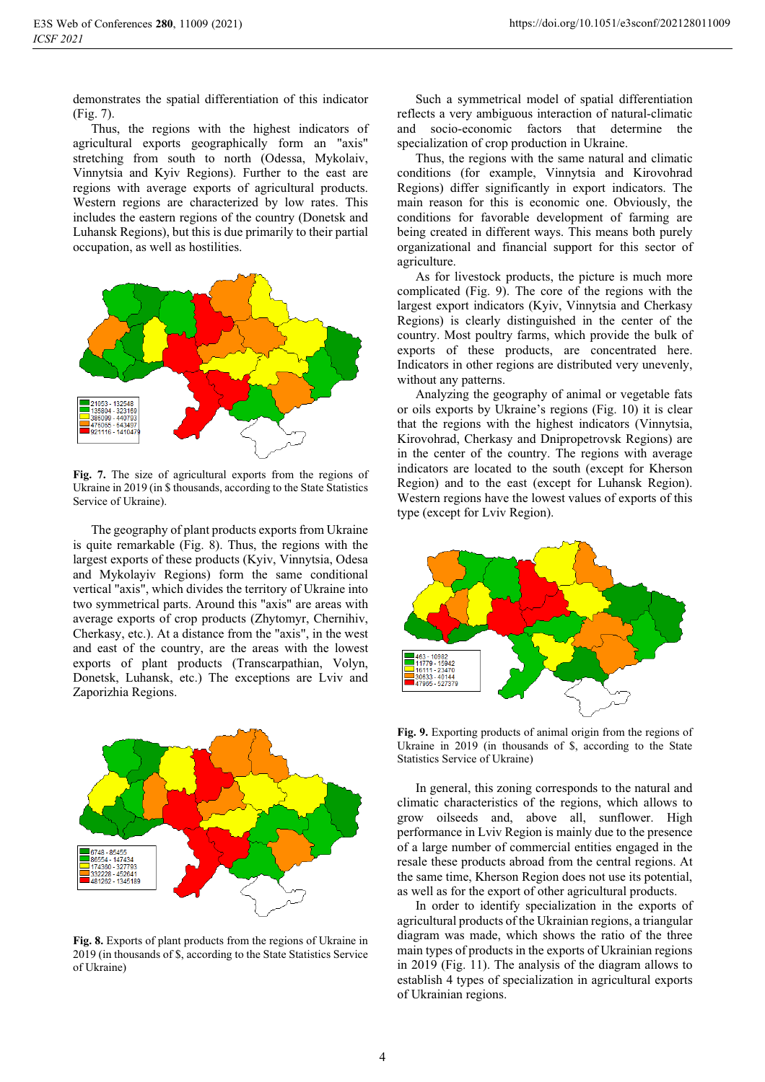demonstrates the spatial differentiation of this indicator (Fig. 7).

Thus, the regions with the highest indicators of agricultural exports geographically form an "axis" stretching from south to north (Odessa, Mykolaiv, Vinnytsia and Kyiv Regions). Further to the east are regions with average exports of agricultural products. Western regions are characterized by low rates. This includes the eastern regions of the country (Donetsk and Luhansk Regions), but this is due primarily to their partial occupation, as well as hostilities.



**Fig. 7.** The size of agricultural exports from the regions of Ukraine in 2019 (in \$ thousands, according to the State Statistics Service of Ukraine).

The geography of plant products exports from Ukraine is quite remarkable (Fig. 8). Thus, the regions with the largest exports of these products (Kyiv, Vinnytsia, Odesa and Mykolayiv Regions) form the same conditional vertical "axis", which divides the territory of Ukraine into two symmetrical parts. Around this "axis" are areas with average exports of crop products (Zhytomyr, Chernihiv, Cherkasy, etc.). At a distance from the "axis", in the west and east of the country, are the areas with the lowest exports of plant products (Transcarpathian, Volyn, Donetsk, Luhansk, etc.) The exceptions are Lviv and Zaporizhia Regions.



**Fig. 8.** Exports of plant products from the regions of Ukraine in 2019 (in thousands of \$, according to the State Statistics Service of Ukraine)

Such a symmetrical model of spatial differentiation reflects a very ambiguous interaction of natural-climatic and socio-economic factors that determine the specialization of crop production in Ukraine.

Thus, the regions with the same natural and climatic conditions (for example, Vinnytsia and Kirovohrad Regions) differ significantly in export indicators. The main reason for this is economic one. Obviously, the conditions for favorable development of farming are being created in different ways. This means both purely organizational and financial support for this sector of agriculture.

As for livestock products, the picture is much more complicated (Fig. 9). The core of the regions with the largest export indicators (Kyiv, Vinnytsia and Cherkasy Regions) is clearly distinguished in the center of the country. Most poultry farms, which provide the bulk of exports of these products, are concentrated here. Indicators in other regions are distributed very unevenly, without any patterns.

Analyzing the geography of animal or vegetable fats or oils exports by Ukraine's regions (Fig. 10) it is clear that the regions with the highest indicators (Vinnytsia, Kirovohrad, Cherkasy and Dnipropetrovsk Regions) are in the center of the country. The regions with average indicators are located to the south (except for Kherson Region) and to the east (except for Luhansk Region). Western regions have the lowest values of exports of this type (except for Lviv Region).



**Fig. 9.** Exporting products of animal origin from the regions of Ukraine in 2019 (in thousands of \$, according to the State Statistics Service of Ukraine)

In general, this zoning corresponds to the natural and climatic characteristics of the regions, which allows to grow oilseeds and, above all, sunflower. High performance in Lviv Region is mainly due to the presence of a large number of commercial entities engaged in the resale these products abroad from the central regions. At the same time, Kherson Region does not use its potential, as well as for the export of other agricultural products.

In order to identify specialization in the exports of agricultural products of the Ukrainian regions, a triangular diagram was made, which shows the ratio of the three main types of products in the exports of Ukrainian regions in 2019 (Fig. 11). The analysis of the diagram allows to establish 4 types of specialization in agricultural exports of Ukrainian regions.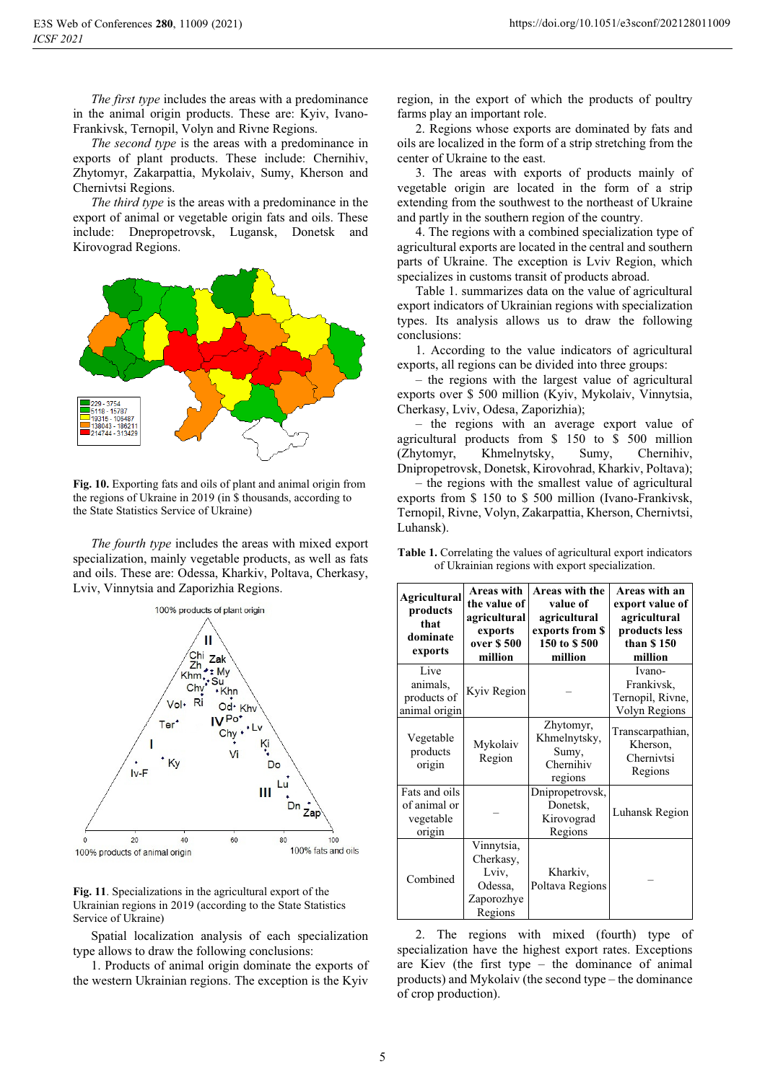*The first type* includes the areas with a predominance in the animal origin products. These are: Kyiv, Ivano-Frankivsk, Ternopil, Volyn and Rivne Regions.

*The second type* is the areas with a predominance in exports of plant products. These include: Chernihiv, Zhytomyr, Zakarpattia, Mykolaiv, Sumy, Kherson and Chernivtsi Regions.

*The third type* is the areas with a predominance in the export of animal or vegetable origin fats and oils. These include: Dnepropetrovsk, Lugansk, Donetsk and Kirovograd Regions.



**Fig. 10.** Exporting fats and oils of plant and animal origin from the regions of Ukraine in 2019 (in \$ thousands, according to the State Statistics Service of Ukraine)

*The fourth type* includes the areas with mixed export specialization, mainly vegetable products, as well as fats and oils. These are: Odessa, Kharkiv, Poltava, Cherkasy, Lviv, Vinnytsia and Zaporizhia Regions.



**Fig. 11**. Specializations in the agricultural export of the Ukrainian regions in 2019 (according to the State Statistics Service of Ukraine)

Spatial localization analysis of each specialization type allows to draw the following conclusions:

1. Products of animal origin dominate the exports of the western Ukrainian regions. The exception is the Kyiv region, in the export of which the products of poultry farms play an important role.

2. Regions whose exports are dominated by fats and oils are localized in the form of a strip stretching from the center of Ukraine to the east.

3. The areas with exports of products mainly of vegetable origin are located in the form of a strip extending from the southwest to the northeast of Ukraine and partly in the southern region of the country.

4. The regions with a combined specialization type of agricultural exports are located in the central and southern parts of Ukraine. The exception is Lviv Region, which specializes in customs transit of products abroad.

Table 1. summarizes data on the value of agricultural export indicators of Ukrainian regions with specialization types. Its analysis allows us to draw the following conclusions:

1. According to the value indicators of agricultural exports, all regions can be divided into three groups:

– the regions with the largest value of agricultural exports over \$ 500 million (Kyiv, Mykolaiv, Vinnytsia, Cherkasy, Lviv, Odesa, Zaporizhia);

– the regions with an average export value of agricultural products from \$ 150 to \$ 500 million (Zhytomyr, Khmelnytsky, Sumy, Chernihiv, Dnipropetrovsk, Donetsk, Kirovohrad, Kharkiv, Poltava);

– the regions with the smallest value of agricultural exports from \$ 150 to \$ 500 million (Ivano-Frankivsk, Ternopil, Rivne, Volyn, Zakarpattia, Kherson, Chernivtsi, Luhansk).

| Agricultural<br>products<br>that<br>dominate<br>exports | Areas with<br>the value of<br>agricultural<br>exports<br>over \$500<br>million | Areas with the<br>value of<br>agricultural<br>exports from \$<br>150 to \$500<br>million | Areas with an<br>export value of<br>agricultural<br>products less<br>than \$150<br>million |
|---------------------------------------------------------|--------------------------------------------------------------------------------|------------------------------------------------------------------------------------------|--------------------------------------------------------------------------------------------|
| Live<br>animals.<br>products of<br>animal origin        | Kyiv Region                                                                    |                                                                                          | Ivano-<br>Frankivsk,<br>Ternopil, Rivne,<br>Volyn Regions                                  |
| Vegetable<br>products<br>origin                         | Mykolaiv<br>Region                                                             | Zhytomyr,<br>Khmelnytsky,<br>Sumy,<br>Chernihiv<br>regions                               | Transcarpathian,<br>Kherson,<br>Chernivtsi<br>Regions                                      |
| Fats and oils<br>of animal or<br>vegetable<br>origin    |                                                                                | Dnipropetrovsk,<br>Donetsk,<br>Kirovograd<br>Regions                                     | Luhansk Region                                                                             |
| Combined                                                | Vinnytsia,<br>Cherkasy,<br>Lviv,<br>Odessa,<br>Zaporozhye<br>Regions           | Kharkiv,<br>Poltava Regions                                                              |                                                                                            |

**Table 1.** Correlating the values of agricultural export indicators of Ukrainian regions with export specialization.

2. The regions with mixed (fourth) type of specialization have the highest export rates. Exceptions are Kiev (the first type – the dominance of animal products) and Mykolaiv (the second type – the dominance of crop production).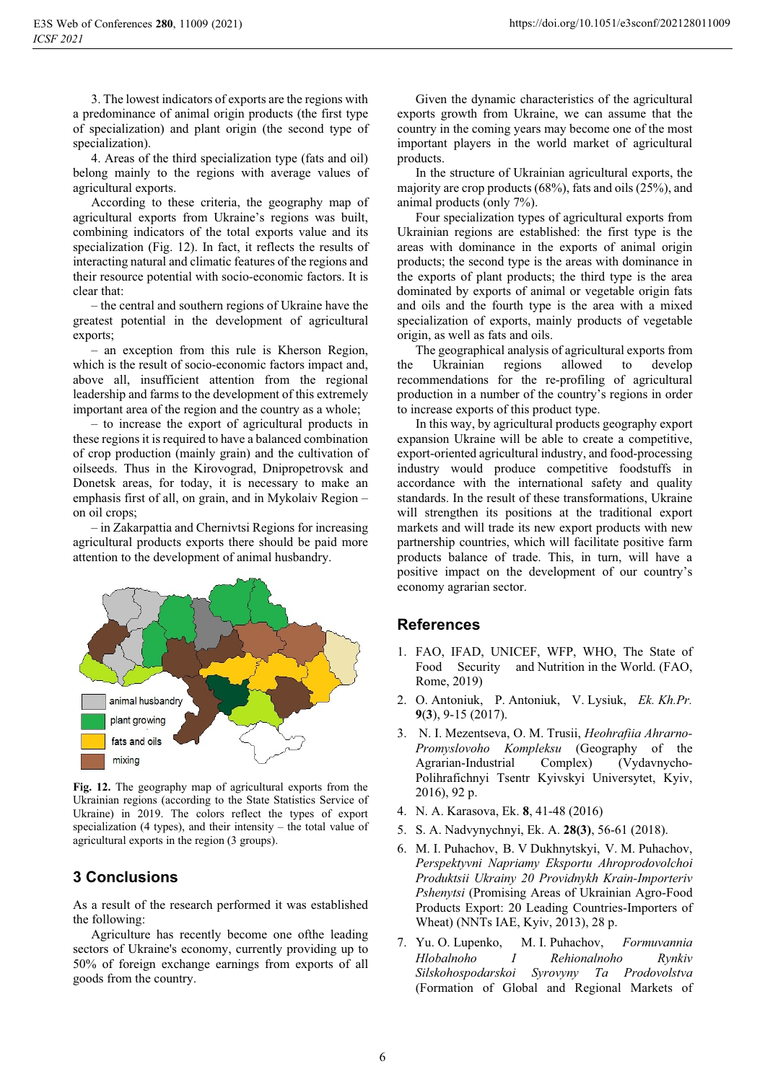3. The lowest indicators of exports are the regions with a predominance of animal origin products (the first type of specialization) and plant origin (the second type of specialization).

4. Areas of the third specialization type (fats and oil) belong mainly to the regions with average values of agricultural exports.

According to these criteria, the geography map of agricultural exports from Ukraine's regions was built, combining indicators of the total exports value and its specialization (Fig. 12). In fact, it reflects the results of interacting natural and climatic features of the regions and their resource potential with socio-economic factors. It is clear that:

– the central and southern regions of Ukraine have the greatest potential in the development of agricultural exports;

– an exception from this rule is Kherson Region, which is the result of socio-economic factors impact and, above all, insufficient attention from the regional leadership and farms to the development of this extremely important area of the region and the country as a whole;

– to increase the export of agricultural products in these regions it is required to have a balanced combination of crop production (mainly grain) and the cultivation of oilseeds. Thus in the Kirovograd, Dnipropetrovsk and Donetsk areas, for today, it is necessary to make an emphasis first of all, on grain, and in Mykolaiv Region – on oil crops;

– in Zakarpattia and Chernivtsi Regions for increasing agricultural products exports there should be paid more attention to the development of animal husbandry.



**Fig. 12.** The geography map of agricultural exports from the Ukrainian regions (according to the State Statistics Service of Ukraine) in 2019. The colors reflect the types of export specialization (4 types), and their intensity – the total value of agricultural exports in the region (3 groups).

### **3 Conclusions**

As a result of the research performed it was established the following:

Agriculture has recently become one ofthe leading sectors of Ukraine's economy, currently providing up to 50% of foreign exchange earnings from exports of all goods from the country.

Given the dynamic characteristics of the agricultural exports growth from Ukraine, we can assume that the country in the coming years may become one of the most important players in the world market of agricultural products.

In the structure of Ukrainian agricultural exports, the majority are crop products (68%), fats and oils (25%), and animal products (only 7%).

Four specialization types of agricultural exports from Ukrainian regions are established: the first type is the areas with dominance in the exports of animal origin products; the second type is the areas with dominance in the exports of plant products; the third type is the area dominated by exports of animal or vegetable origin fats and oils and the fourth type is the area with a mixed specialization of exports, mainly products of vegetable origin, as well as fats and oils.

The geographical analysis of agricultural exports from the Ukrainian regions allowed to develop recommendations for the re-profiling of agricultural production in a number of the country's regions in order to increase exports of this product type.

In this way, by agricultural products geography export expansion Ukraine will be able to create a competitive, export-oriented agricultural industry, and food-processing industry would produce competitive foodstuffs in accordance with the international safety and quality standards. In the result of these transformations, Ukraine will strengthen its positions at the traditional export markets and will trade its new export products with new partnership countries, which will facilitate positive farm products balance of trade. This, in turn, will have a positive impact on the development of our country's economy agrarian sector.

### **References**

- 1. FAO, IFAD, UNICEF, WFP, WHO, The State of Food Security and Nutrition in the World. (FAO, Rome, 2019)
- 2. O. Antoniuk, P. Antoniuk, V. Lysiuk, *Ek. Kh.Pr.* **9**(**3**), 9-15 (2017).
- 3. N. I. Mezentseva, O. M. Trusii, *Heohrafiia Ahrarno-Promyslovoho Kompleksu* (Geography of the Agrarian-Industrial Complex) (Vydavnycho-Polihrafichnyi Tsentr Kyivskyi Universytet, Kyiv, 2016), 92 p.
- 4. N. A. Karasova, Ek. **8**, 41-48 (2016)
- 5. S. A. Nadvynychnyi, Ek. A. **28(3)**, 56-61 (2018).
- 6. M. I. Puhachov, B. V Dukhnytskyi, V. M. Puhachov, *Perspektyvni Napriamy Eksportu Ahroprodovolchoi Produktsii Ukrainy 20 Providnykh Krain-Importeriv Pshenytsi* (Promising Areas of Ukrainian Agro-Food Products Export: 20 Leading Countries-Importers of Wheat) (NNTs IAE, Kyiv, 2013), 28 p.
- 7. Yu. O. Lupenko, M. I. Puhachov, *Formuvannia Hlobalnoho I Rehionalnoho Rynkiv Silskohospodarskoi Syrovyny Ta Prodovolstva* (Formation of Global and Regional Markets of